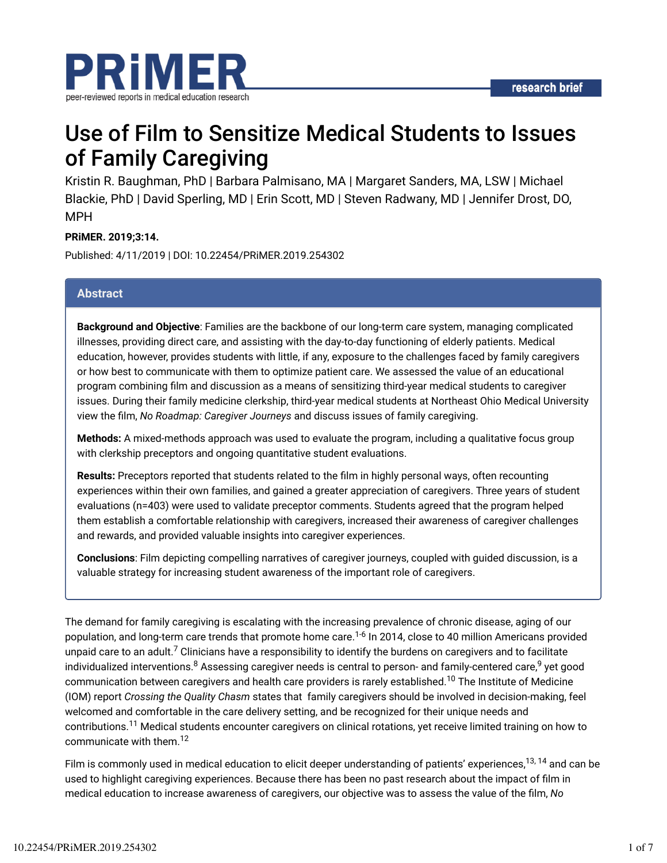

## Use of Film to Sensitize Medical Students to Issues of Family Caregiving

Kristin R. Baughman, PhD | Barbara Palmisano, MA | Margaret Sanders, MA, LSW | Michael Blackie, PhD | David Sperling, MD | Erin Scott, MD | Steven Radwany, MD | Jennifer Drost, DO, MPH

#### **PRiMER. 2019;3:14.**

Published: 4/11/2019 | DOI: 10.22454/PRiMER.2019.254302

#### **Abstract**

**Background and Objective**: Families are the backbone of our long-term care system, managing complicated illnesses, providing direct care, and assisting with the day-to-day functioning of elderly patients. Medical education, however, provides students with little, if any, exposure to the challenges faced by family caregivers or how best to communicate with them to optimize patient care. We assessed the value of an educational program combining film and discussion as a means of sensitizing third-year medical students to caregiver issues. During their family medicine clerkship, third-year medical students at Northeast Ohio Medical University view the film, *No Roadmap: Caregiver Journeys* and discuss issues of family caregiving.

**Methods:** A mixed-methods approach was used to evaluate the program, including a qualitative focus group with clerkship preceptors and ongoing quantitative student evaluations.

**Results:** Preceptors reported that students related to the film in highly personal ways, often recounting experiences within their own families, and gained a greater appreciation of caregivers. Three years of student evaluations (n=403) were used to validate preceptor comments. Students agreed that the program helped them establish a comfortable relationship with caregivers, increased their awareness of caregiver challenges and rewards, and provided valuable insights into caregiver experiences.

**Conclusions**: Film depicting compelling narratives of caregiver journeys, coupled with guided discussion, is a valuable strategy for increasing student awareness of the important role of caregivers.

The demand for family caregiving is escalating with the increasing prevalence of chronic disease, aging of our population, and long-term care trends that promote home care.<sup>1-6</sup> In 2014, close to 40 million Americans provided unpaid care to an adult.<sup>7</sup> Clinicians have a responsibility to identify the burdens on caregivers and to facilitate individualized interventions. $^8$  Assessing caregiver needs is central to person- and family-centered care, $^9$  yet good communication between caregivers and health care providers is rarely established. $^{10}$  The Institute of Medicine (IOM) report *Crossing the Quality Chasm* states that family caregivers should be involved in decision-making, feel welcomed and comfortable in the care delivery setting, and be recognized for their unique needs and contributions.<sup>11</sup> Medical students encounter caregivers on clinical rotations, yet receive limited training on how to communicate with them. 12

Film is commonly used in medical education to elicit deeper understanding of patients' experiences,<sup>13, 14</sup> and can be used to highlight caregiving experiences. Because there has been no past research about the impact of film in medical education to increase awareness of caregivers, our objective was to assess the value of the film, *No*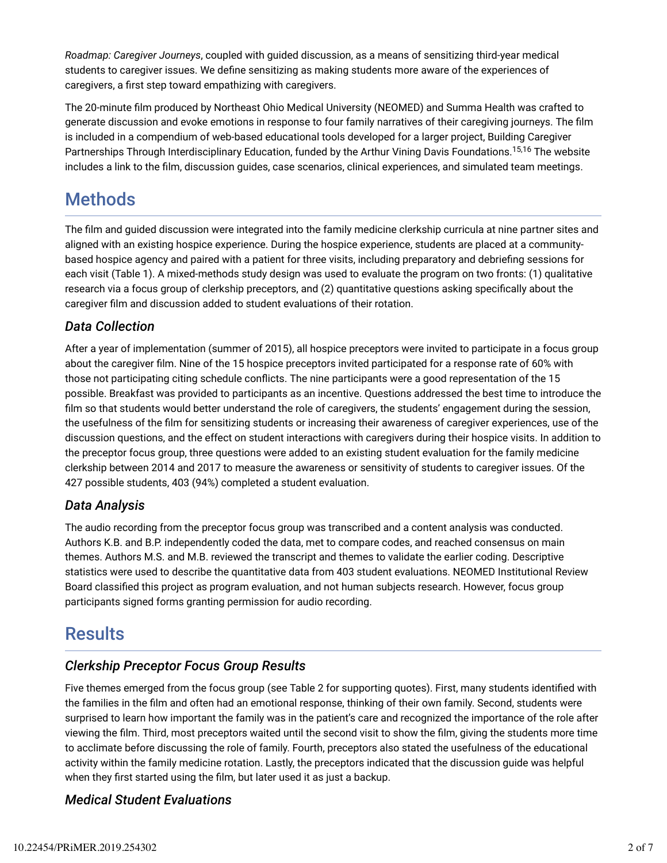*Roadmap: Caregiver Journeys*, coupled with guided discussion, as a means of sensitizing third-year medical students to caregiver issues. We define sensitizing as making students more aware of the experiences of caregivers, a first step toward empathizing with caregivers.

The 20-minute film produced by Northeast Ohio Medical University (NEOMED) and Summa Health was crafted to generate discussion and evoke emotions in response to four family narratives of their caregiving journeys. The film is included in a compendium of web-based educational tools developed for a larger project, Building Caregiver Partnerships Through Interdisciplinary Education, funded by the Arthur Vining Davis Foundations.<sup>15,16</sup> The website includes a link to the film, discussion quides, case scenarios, clinical experiences, and simulated team meetings.

### **Methods**

The film and guided discussion were integrated into the family medicine clerkship curricula at nine partner sites and aligned with an existing hospice experience. During the hospice experience, students are placed at a communitybased hospice agency and paired with a patient for three visits, including preparatory and debriefing sessions for each visit (Table 1). A mixed-methods study design was used to evaluate the program on two fronts: (1) qualitative research via a focus group of clerkship preceptors, and (2) quantitative questions asking specifically about the caregiver film and discussion added to student evaluations of their rotation.

### *Data Collection*

After a year of implementation (summer of 2015), all hospice preceptors were invited to participate in a focus group about the caregiver film. Nine of the 15 hospice preceptors invited participated for a response rate of 60% with those not participating citing schedule conflicts. The nine participants were a good representation of the 15 possible. Breakfast was provided to participants as an incentive. Questions addressed the best time to introduce the film so that students would better understand the role of caregivers, the students' engagement during the session, the usefulness of the film for sensitizing students or increasing their awareness of caregiver experiences, use of the discussion questions, and the effect on student interactions with caregivers during their hospice visits. In addition to the preceptor focus group, three questions were added to an existing student evaluation for the family medicine clerkship between 2014 and 2017 to measure the awareness or sensitivity of students to caregiver issues. Of the 427 possible students, 403 (94%) completed a student evaluation.

### *Data Analysis*

The audio recording from the preceptor focus group was transcribed and a content analysis was conducted. Authors K.B. and B.P. independently coded the data, met to compare codes, and reached consensus on main themes. Authors M.S. and M.B. reviewed the transcript and themes to validate the earlier coding. Descriptive statistics were used to describe the quantitative data from 403 student evaluations. NEOMED Institutional Review Board classified this project as program evaluation, and not human subjects research. However, focus group participants signed forms granting permission for audio recording.

### **Results**

### *Clerkship Preceptor Focus Group Results*

Five themes emerged from the focus group (see Table 2 for supporting quotes). First, many students identified with the families in the film and often had an emotional response, thinking of their own family. Second, students were surprised to learn how important the family was in the patient's care and recognized the importance of the role after viewing the film. Third, most preceptors waited until the second visit to show the film, giving the students more time to acclimate before discussing the role of family. Fourth, preceptors also stated the usefulness of the educational activity within the family medicine rotation. Lastly, the preceptors indicated that the discussion guide was helpful when they first started using the film, but later used it as just a backup.

### *Medical Student Evaluations*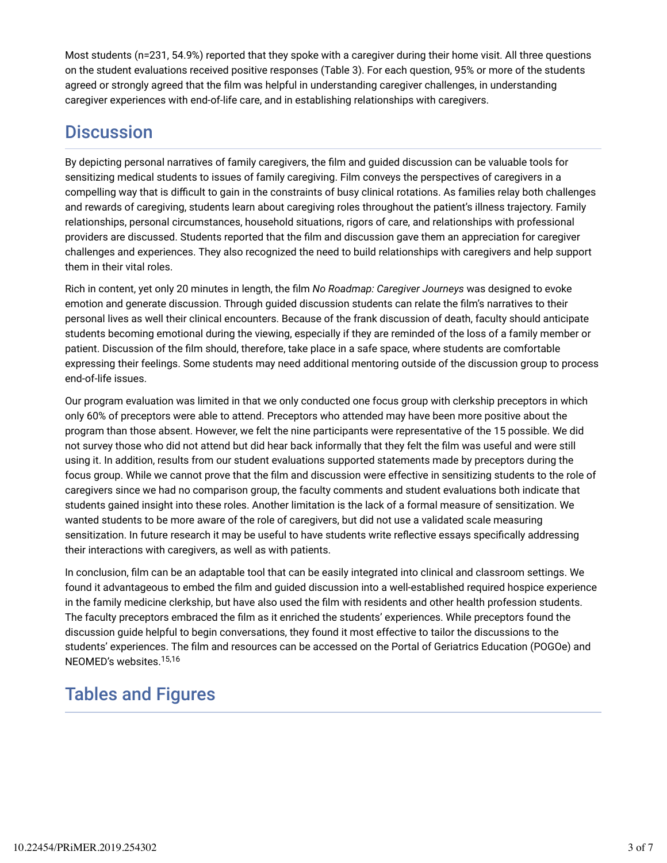Most students (n=231, 54.9%) reported that they spoke with a caregiver during their home visit. All three questions on the student evaluations received positive responses (Table 3). For each question, 95% or more of the students agreed or strongly agreed that the film was helpful in understanding caregiver challenges, in understanding caregiver experiences with end-of-life care, and in establishing relationships with caregivers.

### **Discussion**

By depicting personal narratives of family caregivers, the film and guided discussion can be valuable tools for sensitizing medical students to issues of family caregiving. Film conveys the perspectives of caregivers in a compelling way that is difficult to gain in the constraints of busy clinical rotations. As families relay both challenges and rewards of caregiving, students learn about caregiving roles throughout the patient's illness trajectory. Family relationships, personal circumstances, household situations, rigors of care, and relationships with professional providers are discussed. Students reported that the film and discussion gave them an appreciation for caregiver challenges and experiences. They also recognized the need to build relationships with caregivers and help support them in their vital roles.

Rich in content, yet only 20 minutes in length, the film *No Roadmap: Caregiver Journeys* was designed to evoke emotion and generate discussion. Through guided discussion students can relate the film's narratives to their personal lives as well their clinical encounters. Because of the frank discussion of death, faculty should anticipate students becoming emotional during the viewing, especially if they are reminded of the loss of a family member or patient. Discussion of the film should, therefore, take place in a safe space, where students are comfortable expressing their feelings. Some students may need additional mentoring outside of the discussion group to process end-of-life issues.

Our program evaluation was limited in that we only conducted one focus group with clerkship preceptors in which only 60% of preceptors were able to attend. Preceptors who attended may have been more positive about the program than those absent. However, we felt the nine participants were representative of the 15 possible. We did not survey those who did not attend but did hear back informally that they felt the film was useful and were still using it. In addition, results from our student evaluations supported statements made by preceptors during the focus group. While we cannot prove that the film and discussion were effective in sensitizing students to the role of caregivers since we had no comparison group, the faculty comments and student evaluations both indicate that students gained insight into these roles. Another limitation is the lack of a formal measure of sensitization. We wanted students to be more aware of the role of caregivers, but did not use a validated scale measuring sensitization. In future research it may be useful to have students write reflective essays specifically addressing their interactions with caregivers, as well as with patients.

In conclusion, film can be an adaptable tool that can be easily integrated into clinical and classroom settings. We found it advantageous to embed the film and guided discussion into a well-established required hospice experience in the family medicine clerkship, but have also used the film with residents and other health profession students. The faculty preceptors embraced the film as it enriched the students' experiences. While preceptors found the discussion guide helpful to begin conversations, they found it most effective to tailor the discussions to the students' experiences. The film and resources can be accessed on the Portal of Geriatrics Education (POGOe) and NEOMED's websites. 15,16

### Tables and Figures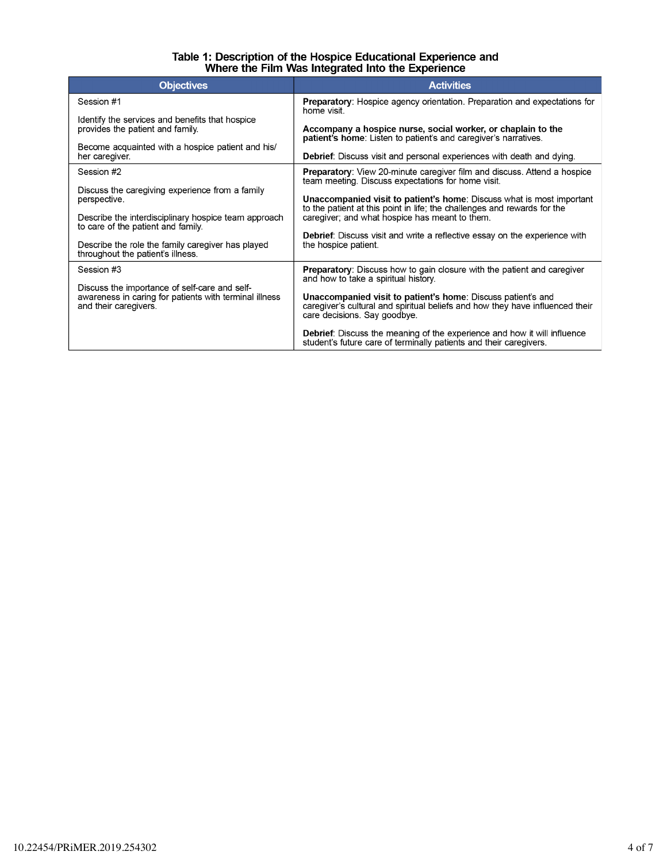# Table 1: Description of the Hospice Educational Experience and<br>Where the Film Was Integrated Into the Experience

| <b>Objectives</b>                                                                                                                | <b>Activities</b>                                                                                                                                                             |  |  |  |  |
|----------------------------------------------------------------------------------------------------------------------------------|-------------------------------------------------------------------------------------------------------------------------------------------------------------------------------|--|--|--|--|
| Session #1                                                                                                                       | Preparatory: Hospice agency orientation. Preparation and expectations for<br>home visit                                                                                       |  |  |  |  |
| Identify the services and benefits that hospice<br>provides the patient and family.                                              | Accompany a hospice nurse, social worker, or chaplain to the<br>patient's home: Listen to patient's and caregiver's narratives.                                               |  |  |  |  |
| Become acquainted with a hospice patient and his/<br>her caregiver.                                                              | Debrief: Discuss visit and personal experiences with death and dying.                                                                                                         |  |  |  |  |
| Session #2                                                                                                                       | <b>Preparatory:</b> View 20-minute caregiver film and discuss. Attend a hospice<br>team meeting. Discuss expectations for home visit.                                         |  |  |  |  |
| Discuss the caregiving experience from a family<br>perspective.                                                                  | <b>Unaccompanied visit to patient's home:</b> Discuss what is most important<br>to the patient at this point in life; the challenges and rewards for the                      |  |  |  |  |
| Describe the interdisciplinary hospice team approach<br>to care of the patient and family.                                       | caregiver; and what hospice has meant to them.                                                                                                                                |  |  |  |  |
| Describe the role the family caregiver has played<br>throughout the patient's illness.                                           | <b>Debrief:</b> Discuss visit and write a reflective essay on the experience with<br>the hospice patient.                                                                     |  |  |  |  |
| Session #3                                                                                                                       | <b>Preparatory:</b> Discuss how to gain closure with the patient and caregiver<br>and how to take a spiritual history.                                                        |  |  |  |  |
| Discuss the importance of self-care and self-<br>awareness in caring for patients with terminal illness<br>and their caregivers. | Unaccompanied visit to patient's home: Discuss patient's and<br>caregiver's cultural and spiritual beliefs and how they have influenced their<br>care decisions. Say goodbye. |  |  |  |  |
|                                                                                                                                  | <b>Debrief:</b> Discuss the meaning of the experience and how it will influence<br>student's future care of terminally patients and their caregivers.                         |  |  |  |  |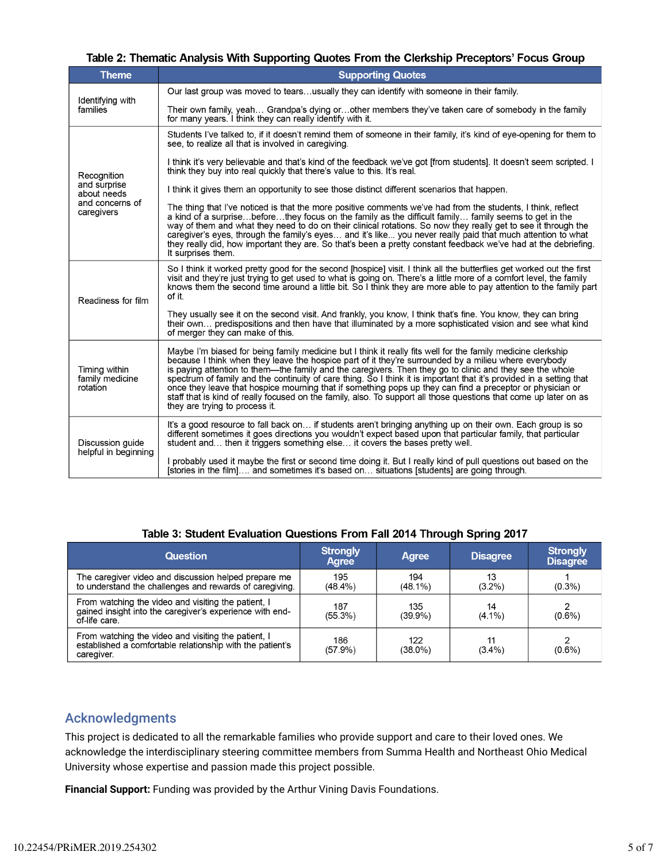| Table 2: Thematic Analysis With Supporting Quotes From the Clerkship Preceptors' Focus Group |  |  |
|----------------------------------------------------------------------------------------------|--|--|
|                                                                                              |  |  |

| <b>Theme</b>                                                                | <b>Supporting Quotes</b>                                                                                                                                                                                                                                                                                                                                                                                                                                                                                                                                                                                                                                                                                                      |
|-----------------------------------------------------------------------------|-------------------------------------------------------------------------------------------------------------------------------------------------------------------------------------------------------------------------------------------------------------------------------------------------------------------------------------------------------------------------------------------------------------------------------------------------------------------------------------------------------------------------------------------------------------------------------------------------------------------------------------------------------------------------------------------------------------------------------|
|                                                                             | Our last group was moved to tearsusually they can identify with someone in their family.                                                                                                                                                                                                                                                                                                                                                                                                                                                                                                                                                                                                                                      |
| Identifying with<br>families                                                | Their own family, yeah Grandpa's dying orother members they've taken care of somebody in the family<br>for many years. I think they can really identify with it.                                                                                                                                                                                                                                                                                                                                                                                                                                                                                                                                                              |
| Recognition<br>and surprise<br>about needs<br>and concerns of<br>caregivers | Students I've talked to, if it doesn't remind them of someone in their family, it's kind of eye-opening for them to<br>see, to realize all that is involved in caregiving.                                                                                                                                                                                                                                                                                                                                                                                                                                                                                                                                                    |
|                                                                             | I think it's very believable and that's kind of the feedback we've got [from students]. It doesn't seem scripted. I<br>think they buy into real quickly that there's value to this. It's real.                                                                                                                                                                                                                                                                                                                                                                                                                                                                                                                                |
|                                                                             | I think it gives them an opportunity to see those distinct different scenarios that happen.                                                                                                                                                                                                                                                                                                                                                                                                                                                                                                                                                                                                                                   |
|                                                                             | The thing that I've noticed is that the more positive comments we've had from the students, I think, reflect<br>a kind of a surprisebeforethey focus on the family as the difficult family family seems to get in the<br>way of them and what they need to do on their clinical rotations. So now they really get to see it through the<br>caregiver's eyes, through the family's eyes and it's like you never really paid that much attention to what<br>they really did, how important they are. So that's been a pretty constant feedback we've had at the debriefing.<br>It surprises them.                                                                                                                               |
| Readiness for film                                                          | So I think it worked pretty good for the second [hospice] visit. I think all the butterflies get worked out the first<br>visit and they're just trying to get used to what is going on. There's a little more of a comfort level, the family<br>knows them the second time around a little bit. So I think they are more able to pay attention to the family part<br>of it.                                                                                                                                                                                                                                                                                                                                                   |
|                                                                             | They usually see it on the second visit. And frankly, you know, I think that's fine. You know, they can bring<br>their own predispositions and then have that illuminated by a more sophisticated vision and see what kind<br>of merger they can make of this.                                                                                                                                                                                                                                                                                                                                                                                                                                                                |
| Timing within<br>family medicine<br>rotation                                | Maybe I'm biased for being family medicine but I think it really fits well for the family medicine clerkship<br>because I think when they leave the hospice part of it they're surrounded by a milieu where everybody<br>is paying attention to them-the family and the caregivers. Then they go to clinic and they see the whole<br>spectrum of family and the continuity of care thing. So I think it is important that it's provided in a setting that<br>once they leave that hospice mourning that if something pops up they can find a preceptor or physician or<br>staff that is kind of really focused on the family, also. To support all those questions that come up later on as<br>they are trying to process it. |
| Discussion guide<br>helpful in beginning                                    | It's a good resource to fall back on if students aren't bringing anything up on their own. Each group is so<br>different sometimes it goes directions you wouldn't expect based upon that particular family, that particular<br>student and then it triggers something else it covers the bases pretty well.                                                                                                                                                                                                                                                                                                                                                                                                                  |
|                                                                             | I probably used it maybe the first or second time doing it. But I really kind of pull questions out based on the<br>[stories in the film] and sometimes it's based on situations [students] are going through.                                                                                                                                                                                                                                                                                                                                                                                                                                                                                                                |

| <b>Question</b>                                                                                                                  | <b>Strongly</b><br>Agree | Agree          | <b>Disagree</b> | <b>Strongly</b><br><b>Disagree</b> |
|----------------------------------------------------------------------------------------------------------------------------------|--------------------------|----------------|-----------------|------------------------------------|
| The caregiver video and discussion helped prepare me                                                                             | 195                      | 194            | 13              | $(0.3\%)$                          |
| to understand the challenges and rewards of caregiving.                                                                          | $(48.4\%)$               | $(48.1\%)$     | $(3.2\%)$       |                                    |
| From watching the video and visiting the patient, I<br>gained insight into the caregiver's experience with end-<br>of-life care. | 187<br>$(55.3\%)$        | 135<br>(39.9%) | 14<br>$(4.1\%)$ | 2<br>$(0.6\%)$                     |
| From watching the video and visiting the patient, I<br>established a comfortable relationship with the patient's                 | 186                      | 122            | 11              | $(0.6\%)$                          |
| caregiver.                                                                                                                       | (57.9%)                  | (38.0%)        | $(3.4\%)$       |                                    |

#### Table 3: Student Evaluation Questions From Fall 2014 Through Spring 2017

### Acknowledgments

This project is dedicated to all the remarkable families who provide support and care to their loved ones. We acknowledge the interdisciplinary steering committee members from Summa Health and Northeast Ohio Medical University whose expertise and passion made this project possible.

**Financial Support:** Funding was provided by the Arthur Vining Davis Foundations.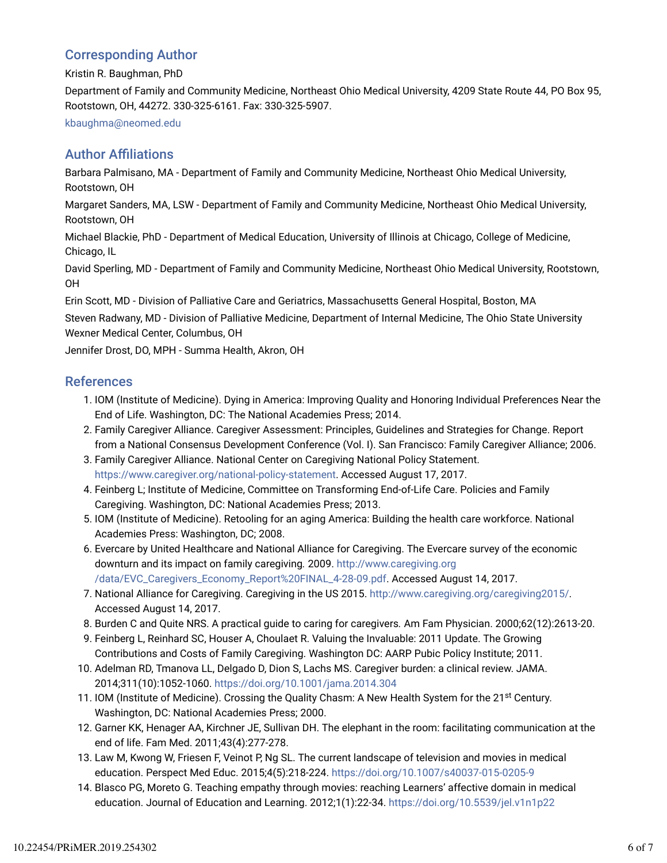### Corresponding Author

Kristin R. Baughman, PhD

Department of Family and Community Medicine, Northeast Ohio Medical University, 4209 State Route 44, PO Box 95, Rootstown, OH, 44272. 330-325-6161. Fax: 330-325-5907.

kbaughma@neomed.edu

### **Author Affiliations**

Barbara Palmisano, MA - Department of Family and Community Medicine, Northeast Ohio Medical University, Rootstown, OH

Margaret Sanders, MA, LSW - Department of Family and Community Medicine, Northeast Ohio Medical University, Rootstown, OH

Michael Blackie, PhD - Department of Medical Education, University of Illinois at Chicago, College of Medicine, Chicago, IL

David Sperling, MD - Department of Family and Community Medicine, Northeast Ohio Medical University, Rootstown, OH

Erin Scott, MD - Division of Palliative Care and Geriatrics, Massachusetts General Hospital, Boston, MA

Steven Radwany, MD - Division of Palliative Medicine, Department of Internal Medicine, The Ohio State University Wexner Medical Center, Columbus, OH

Jennifer Drost, DO, MPH - Summa Health, Akron, OH

#### **References**

- 1. IOM (Institute of Medicine). Dying in America: Improving Quality and Honoring Individual Preferences Near the End of Life. Washington, DC: The National Academies Press; 2014.
- Family Caregiver Alliance. Caregiver Assessment: Principles, Guidelines and Strategies for Change. Report 2. from a National Consensus Development Conference (Vol. I). San Francisco: Family Caregiver Alliance; 2006.
- 3. Family Caregiver Alliance. National Center on Caregiving National Policy Statement. https://www.caregiver.org/national-policy-statement. Accessed August 17, 2017.
- Feinberg L; Institute of Medicine, Committee on Transforming End-of-Life Care. Policies and Family 4. Caregiving. Washington, DC: National Academies Press; 2013.
- 5. IOM (Institute of Medicine). Retooling for an aging America: Building the health care workforce. National Academies Press: Washington, DC; 2008.
- 6. Evercare by United Healthcare and National Alliance for Caregiving. The Evercare survey of the economic downturn and its impact on family caregiving*.* 2009. http://www.caregiving.org /data/EVC\_Caregivers\_Economy\_Report%20FINAL\_4-28-09.pdf. Accessed August 14, 2017.
- 7. National Alliance for Caregiving. Caregiving in the US 2015. http://www.caregiving.org/caregiving2015/. Accessed August 14, 2017.
- 8. Burden C and Quite NRS. A practical guide to caring for caregivers*.* Am Fam Physician. 2000;62(12):2613-20.
- Feinberg L, Reinhard SC, Houser A, Choulaet R. Valuing the Invaluable: 2011 Update. The Growing 9. Contributions and Costs of Family Caregiving. Washington DC: AARP Pubic Policy Institute; 2011.
- 10. Adelman RD, Tmanova LL, Delgado D, Dion S, Lachs MS. Caregiver burden: a clinical review. JAMA. 2014;311(10):1052-1060. https://doi.org/10.1001/jama.2014.304
- 11. IOM (Institute of Medicine). Crossing the Quality Chasm: A New Health System for the 21<sup>st</sup> Century. Washington, DC: National Academies Press; 2000.
- 12. Garner KK, Henager AA, Kirchner JE, Sullivan DH. The elephant in the room: facilitating communication at the end of life. Fam Med. 2011;43(4):277-278.
- 13. Law M, Kwong W, Friesen F, Veinot P, Ng SL. The current landscape of television and movies in medical education. Perspect Med Educ. 2015;4(5):218-224. https://doi.org/10.1007/s40037-015-0205-9
- 14. Blasco PG, Moreto G. Teaching empathy through movies: reaching Learners' affective domain in medical education. Journal of Education and Learning. 2012;1(1):22-34. https://doi.org/10.5539/jel.v1n1p22